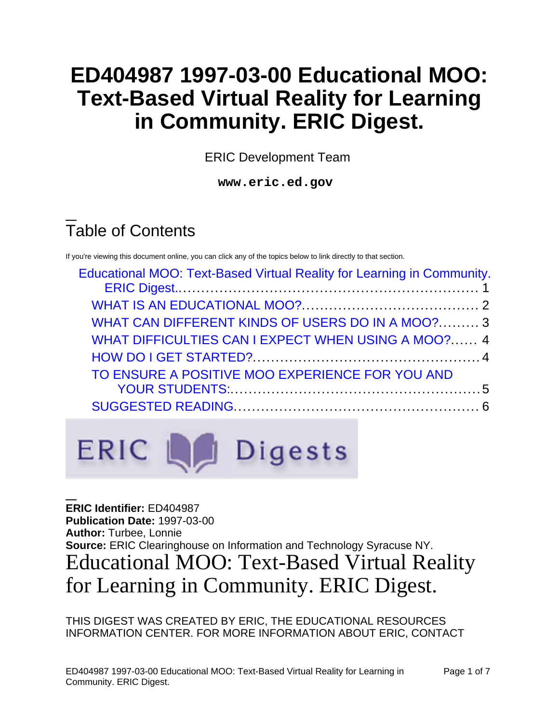# **ED404987 1997-03-00 Educational MOO: Text-Based Virtual Reality for Learning in Community. ERIC Digest.**

ERIC Development Team

**www.eric.ed.gov**

# Table of Contents

If you're viewing this document online, you can click any of the topics below to link directly to that section.

| Educational MOO: Text-Based Virtual Reality for Learning in Community. |  |
|------------------------------------------------------------------------|--|
|                                                                        |  |
|                                                                        |  |
| WHAT CAN DIFFERENT KINDS OF USERS DO IN A MOO? 3                       |  |
| WHAT DIFFICULTIES CAN I EXPECT WHEN USING A MOO? 4                     |  |
|                                                                        |  |
| TO ENSURE A POSITIVE MOO EXPERIENCE FOR YOU AND                        |  |
|                                                                        |  |
|                                                                        |  |
|                                                                        |  |



<span id="page-0-0"></span>**ERIC Identifier:** ED404987 **Publication Date:** 1997-03-00 **Author:** Turbee, Lonnie **Source:** ERIC Clearinghouse on Information and Technology Syracuse NY. Educational MOO: Text-Based Virtual Reality for Learning in Community. ERIC Digest.

THIS DIGEST WAS CREATED BY ERIC, THE EDUCATIONAL RESOURCES INFORMATION CENTER. FOR MORE INFORMATION ABOUT ERIC, CONTACT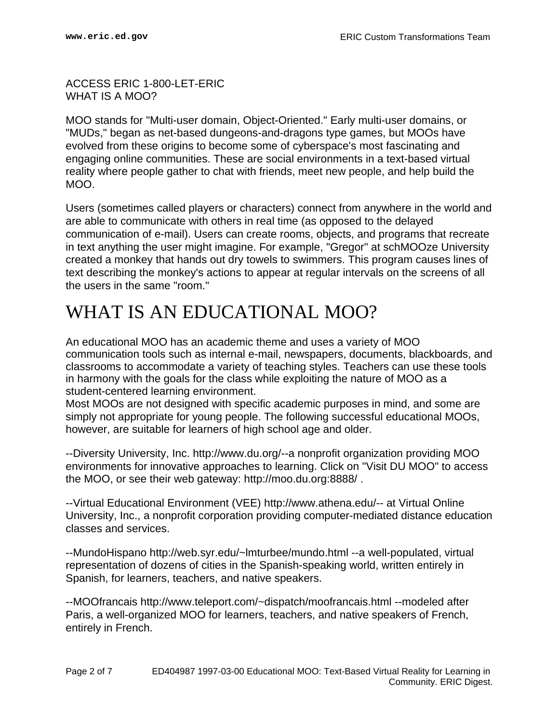ACCESS ERIC 1-800-LET-ERIC WHAT IS A MOO?

MOO stands for "Multi-user domain, Object-Oriented." Early multi-user domains, or "MUDs," began as net-based dungeons-and-dragons type games, but MOOs have evolved from these origins to become some of cyberspace's most fascinating and engaging online communities. These are social environments in a text-based virtual reality where people gather to chat with friends, meet new people, and help build the MOO.

Users (sometimes called players or characters) connect from anywhere in the world and are able to communicate with others in real time (as opposed to the delayed communication of e-mail). Users can create rooms, objects, and programs that recreate in text anything the user might imagine. For example, "Gregor" at schMOOze University created a monkey that hands out dry towels to swimmers. This program causes lines of text describing the monkey's actions to appear at regular intervals on the screens of all the users in the same "room."

### <span id="page-1-0"></span>WHAT IS AN EDUCATIONAL MOO?

An educational MOO has an academic theme and uses a variety of MOO communication tools such as internal e-mail, newspapers, documents, blackboards, and classrooms to accommodate a variety of teaching styles. Teachers can use these tools in harmony with the goals for the class while exploiting the nature of MOO as a student-centered learning environment.

Most MOOs are not designed with specific academic purposes in mind, and some are simply not appropriate for young people. The following successful educational MOOs, however, are suitable for learners of high school age and older.

--Diversity University, Inc. http://www.du.org/--a nonprofit organization providing MOO environments for innovative approaches to learning. Click on "Visit DU MOO" to access the MOO, or see their web gateway: http://moo.du.org:8888/ .

--Virtual Educational Environment (VEE) http://www.athena.edu/-- at Virtual Online University, Inc., a nonprofit corporation providing computer-mediated distance education classes and services.

--MundoHispano http://web.syr.edu/~lmturbee/mundo.html --a well-populated, virtual representation of dozens of cities in the Spanish-speaking world, written entirely in Spanish, for learners, teachers, and native speakers.

--MOOfrancais http://www.teleport.com/~dispatch/moofrancais.html --modeled after Paris, a well-organized MOO for learners, teachers, and native speakers of French, entirely in French.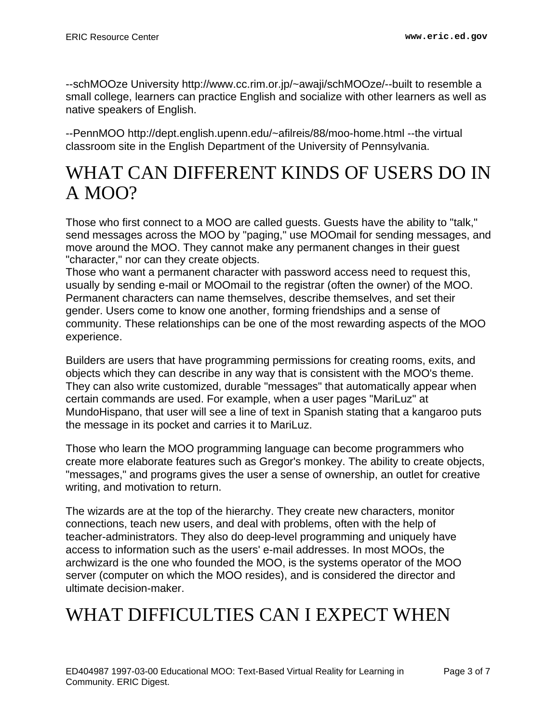--schMOOze University http://www.cc.rim.or.jp/~awaji/schMOOze/--built to resemble a small college, learners can practice English and socialize with other learners as well as native speakers of English.

--PennMOO http://dept.english.upenn.edu/~afilreis/88/moo-home.html --the virtual classroom site in the English Department of the University of Pennsylvania.

#### <span id="page-2-0"></span>WHAT CAN DIFFERENT KINDS OF USERS DO IN A MOO?

Those who first connect to a MOO are called guests. Guests have the ability to "talk," send messages across the MOO by "paging," use MOOmail for sending messages, and move around the MOO. They cannot make any permanent changes in their guest "character," nor can they create objects.

Those who want a permanent character with password access need to request this, usually by sending e-mail or MOOmail to the registrar (often the owner) of the MOO. Permanent characters can name themselves, describe themselves, and set their gender. Users come to know one another, forming friendships and a sense of community. These relationships can be one of the most rewarding aspects of the MOO experience.

Builders are users that have programming permissions for creating rooms, exits, and objects which they can describe in any way that is consistent with the MOO's theme. They can also write customized, durable "messages" that automatically appear when certain commands are used. For example, when a user pages "MariLuz" at MundoHispano, that user will see a line of text in Spanish stating that a kangaroo puts the message in its pocket and carries it to MariLuz.

Those who learn the MOO programming language can become programmers who create more elaborate features such as Gregor's monkey. The ability to create objects, "messages," and programs gives the user a sense of ownership, an outlet for creative writing, and motivation to return.

The wizards are at the top of the hierarchy. They create new characters, monitor connections, teach new users, and deal with problems, often with the help of teacher-administrators. They also do deep-level programming and uniquely have access to information such as the users' e-mail addresses. In most MOOs, the archwizard is the one who founded the MOO, is the systems operator of the MOO server (computer on which the MOO resides), and is considered the director and ultimate decision-maker.

## WHAT DIFFICULTIES CAN I EXPECT WHEN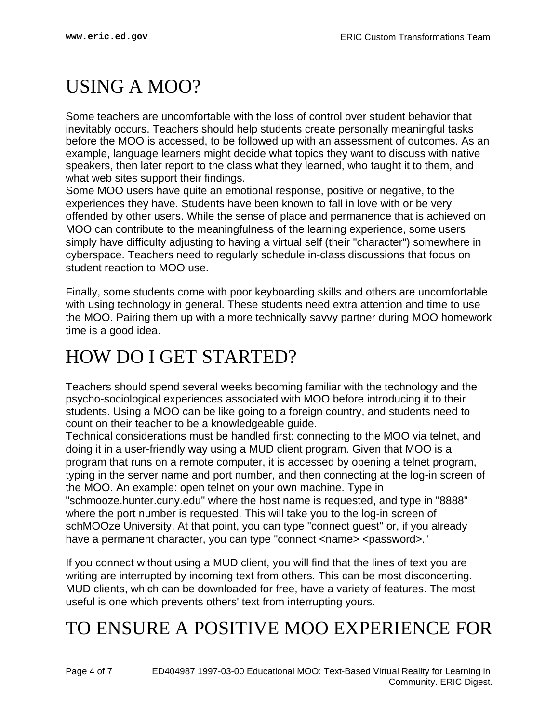## <span id="page-3-0"></span>USING A MOO?

Some teachers are uncomfortable with the loss of control over student behavior that inevitably occurs. Teachers should help students create personally meaningful tasks before the MOO is accessed, to be followed up with an assessment of outcomes. As an example, language learners might decide what topics they want to discuss with native speakers, then later report to the class what they learned, who taught it to them, and what web sites support their findings.

Some MOO users have quite an emotional response, positive or negative, to the experiences they have. Students have been known to fall in love with or be very offended by other users. While the sense of place and permanence that is achieved on MOO can contribute to the meaningfulness of the learning experience, some users simply have difficulty adjusting to having a virtual self (their "character") somewhere in cyberspace. Teachers need to regularly schedule in-class discussions that focus on student reaction to MOO use.

Finally, some students come with poor keyboarding skills and others are uncomfortable with using technology in general. These students need extra attention and time to use the MOO. Pairing them up with a more technically savvy partner during MOO homework time is a good idea.

### <span id="page-3-1"></span>HOW DO I GET STARTED?

Teachers should spend several weeks becoming familiar with the technology and the psycho-sociological experiences associated with MOO before introducing it to their students. Using a MOO can be like going to a foreign country, and students need to count on their teacher to be a knowledgeable guide.

Technical considerations must be handled first: connecting to the MOO via telnet, and doing it in a user-friendly way using a MUD client program. Given that MOO is a program that runs on a remote computer, it is accessed by opening a telnet program, typing in the server name and port number, and then connecting at the log-in screen of the MOO. An example: open telnet on your own machine. Type in "schmooze.hunter.cuny.edu" where the host name is requested, and type in "8888" where the port number is requested. This will take you to the log-in screen of schMOOze University. At that point, you can type "connect guest" or, if you already have a permanent character, you can type "connect <name> <password>."

If you connect without using a MUD client, you will find that the lines of text you are writing are interrupted by incoming text from others. This can be most disconcerting. MUD clients, which can be downloaded for free, have a variety of features. The most useful is one which prevents others' text from interrupting yours.

#### TO ENSURE A POSITIVE MOO EXPERIENCE FOR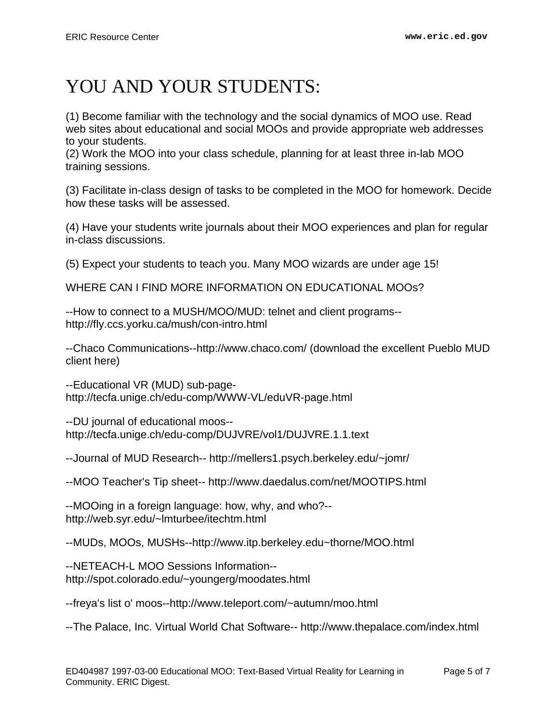## <span id="page-4-0"></span>YOU AND YOUR STUDENTS:

(1) Become familiar with the technology and the social dynamics of MOO use. Read web sites about educational and social MOOs and provide appropriate web addresses to your students.

(2) Work the MOO into your class schedule, planning for at least three in-lab MOO training sessions.

(3) Facilitate in-class design of tasks to be completed in the MOO for homework. Decide how these tasks will be assessed.

(4) Have your students write journals about their MOO experiences and plan for regular in-class discussions.

(5) Expect your students to teach you. Many MOO wizards are under age 15!

WHERE CAN I FIND MORE INFORMATION ON EDUCATIONAL MOOs?

--How to connect to a MUSH/MOO/MUD: telnet and client programs- http://fly.ccs.yorku.ca/mush/con-intro.html

--Chaco Communications--http://www.chaco.com/ (download the excellent Pueblo MUD client here)

--Educational VR (MUD) sub-pagehttp://tecfa.unige.ch/edu-comp/WWW-VL/eduVR-page.html

--DU journal of educational moos- http://tecfa.unige.ch/edu-comp/DUJVRE/vol1/DUJVRE.1.1.text

--Journal of MUD Research-- http://mellers1.psych.berkeley.edu/~jomr/

--MOO Teacher's Tip sheet-- http://www.daedalus.com/net/MOOTIPS.html

--MOOing in a foreign language: how, why, and who?- http://web.syr.edu/~lmturbee/itechtm.html

--MUDs, MOOs, MUSHs--http://www.itp.berkeley.edu~thorne/MOO.html

--NETEACH-L MOO Sessions Information- http://spot.colorado.edu/~youngerg/moodates.html

--freya's list o' moos--http://www.teleport.com/~autumn/moo.html

--The Palace, Inc. Virtual World Chat Software-- http://www.thepalace.com/index.html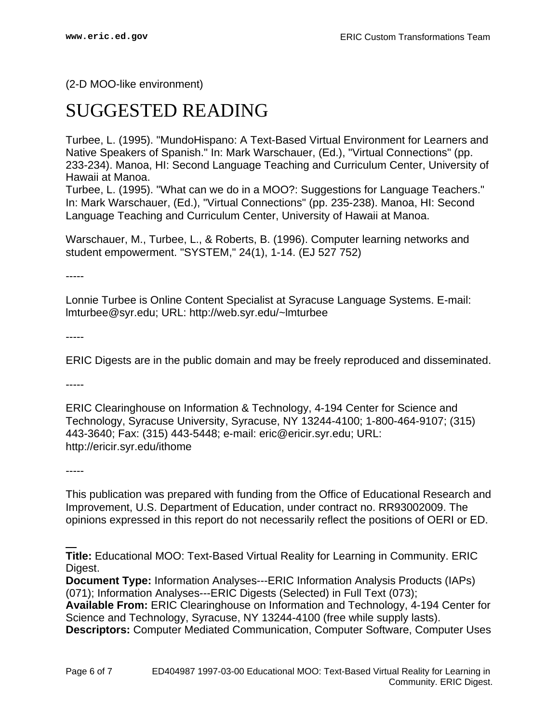(2-D MOO-like environment)

#### <span id="page-5-0"></span>SUGGESTED READING

Turbee, L. (1995). "MundoHispano: A Text-Based Virtual Environment for Learners and Native Speakers of Spanish." In: Mark Warschauer, (Ed.), "Virtual Connections" (pp. 233-234). Manoa, HI: Second Language Teaching and Curriculum Center, University of Hawaii at Manoa.

Turbee, L. (1995). "What can we do in a MOO?: Suggestions for Language Teachers." In: Mark Warschauer, (Ed.), "Virtual Connections" (pp. 235-238). Manoa, HI: Second Language Teaching and Curriculum Center, University of Hawaii at Manoa.

Warschauer, M., Turbee, L., & Roberts, B. (1996). Computer learning networks and student empowerment. "SYSTEM," 24(1), 1-14. (EJ 527 752)

-----

Lonnie Turbee is Online Content Specialist at Syracuse Language Systems. E-mail: lmturbee@syr.edu; URL: http://web.syr.edu/~lmturbee

-----

ERIC Digests are in the public domain and may be freely reproduced and disseminated.

-----

ERIC Clearinghouse on Information & Technology, 4-194 Center for Science and Technology, Syracuse University, Syracuse, NY 13244-4100; 1-800-464-9107; (315) 443-3640; Fax: (315) 443-5448; e-mail: eric@ericir.syr.edu; URL: http://ericir.syr.edu/ithome

-----

This publication was prepared with funding from the Office of Educational Research and Improvement, U.S. Department of Education, under contract no. RR93002009. The opinions expressed in this report do not necessarily reflect the positions of OERI or ED.

**Title:** Educational MOO: Text-Based Virtual Reality for Learning in Community. ERIC Digest.

**Document Type:** Information Analyses---ERIC Information Analysis Products (IAPs) (071); Information Analyses---ERIC Digests (Selected) in Full Text (073);

**Available From:** ERIC Clearinghouse on Information and Technology, 4-194 Center for Science and Technology, Syracuse, NY 13244-4100 (free while supply lasts).

**Descriptors:** Computer Mediated Communication, Computer Software, Computer Uses